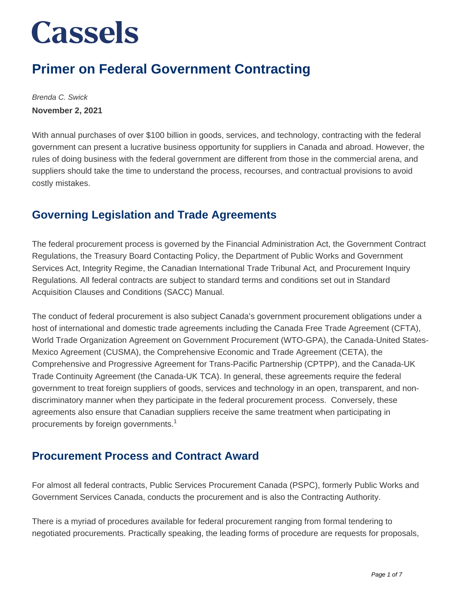### **Primer on Federal Government Contracting**

Brenda C. Swick **November 2, 2021**

With annual purchases of over \$100 billion in goods, services, and technology, contracting with the federal government can present a lucrative business opportunity for suppliers in Canada and abroad. However, the rules of doing business with the federal government are different from those in the commercial arena, and suppliers should take the time to understand the process, recourses, and contractual provisions to avoid costly mistakes.

### **Governing Legislation and Trade Agreements**

The federal procurement process is governed by the Financial Administration Act, the Government Contract Regulations, the Treasury Board Contacting Policy, the Department of Public Works and Government Services Act, Integrity Regime, the Canadian International Trade Tribunal Act, and Procurement Inquiry Regulations. All federal contracts are subject to standard terms and conditions set out in Standard Acquisition Clauses and Conditions (SACC) Manual.

The conduct of federal procurement is also subject Canada's government procurement obligations under a host of international and domestic trade agreements including the Canada Free Trade Agreement (CFTA), World Trade Organization Agreement on Government Procurement (WTO-GPA), the Canada-United States-Mexico Agreement (CUSMA), the Comprehensive Economic and Trade Agreement (CETA), the Comprehensive and Progressive Agreement for Trans-Pacific Partnership (CPTPP), and the Canada-UK Trade Continuity Agreement (the Canada-UK TCA). In general, these agreements require the federal government to treat foreign suppliers of goods, services and technology in an open, transparent, and nondiscriminatory manner when they participate in the federal procurement process. Conversely, these agreements also ensure that Canadian suppliers receive the same treatment when participating in procurements by foreign governments.<sup>1</sup>

### **Procurement Process and Contract Award**

For almost all federal contracts, Public Services Procurement Canada (PSPC), formerly Public Works and Government Services Canada, conducts the procurement and is also the Contracting Authority.

There is a myriad of procedures available for federal procurement ranging from formal tendering to negotiated procurements. Practically speaking, the leading forms of procedure are requests for proposals,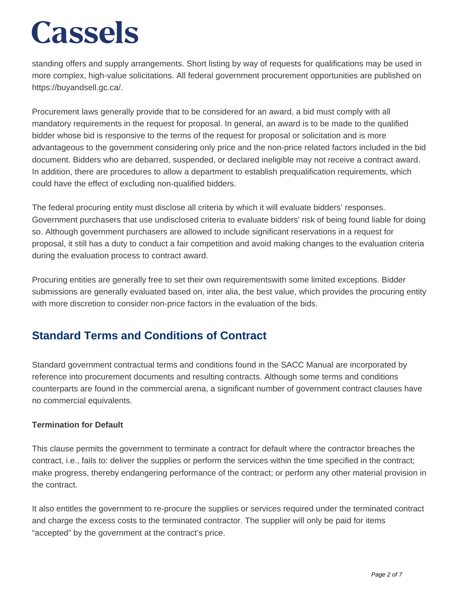standing offers and supply arrangements. Short listing by way of requests for qualifications may be used in more complex, high-value solicitations. All federal government procurement opportunities are published on https://buyandsell.gc.ca/.

Procurement laws generally provide that to be considered for an award, a bid must comply with all mandatory requirements in the request for proposal. In general, an award is to be made to the qualified bidder whose bid is responsive to the terms of the request for proposal or solicitation and is more advantageous to the government considering only price and the non-price related factors included in the bid document. Bidders who are debarred, suspended, or declared ineligible may not receive a contract award. In addition, there are procedures to allow a department to establish prequalification requirements, which could have the effect of excluding non-qualified bidders.

The federal procuring entity must disclose all criteria by which it will evaluate bidders' responses. Government purchasers that use undisclosed criteria to evaluate bidders' risk of being found liable for doing so. Although government purchasers are allowed to include significant reservations in a request for proposal, it still has a duty to conduct a fair competition and avoid making changes to the evaluation criteria during the evaluation process to contract award.

Procuring entities are generally free to set their own requirementswith some limited exceptions. Bidder submissions are generally evaluated based on, inter alia, the best value, which provides the procuring entity with more discretion to consider non-price factors in the evaluation of the bids.

### **Standard Terms and Conditions of Contract**

Standard government contractual terms and conditions found in the SACC Manual are incorporated by reference into procurement documents and resulting contracts. Although some terms and conditions counterparts are found in the commercial arena, a significant number of government contract clauses have no commercial equivalents.

### **Termination for Default**

This clause permits the government to terminate a contract for default where the contractor breaches the contract, i.e., fails to: deliver the supplies or perform the services within the time specified in the contract; make progress, thereby endangering performance of the contract; or perform any other material provision in the contract.

It also entitles the government to re-procure the supplies or services required under the terminated contract and charge the excess costs to the terminated contractor. The supplier will only be paid for items "accepted" by the government at the contract's price.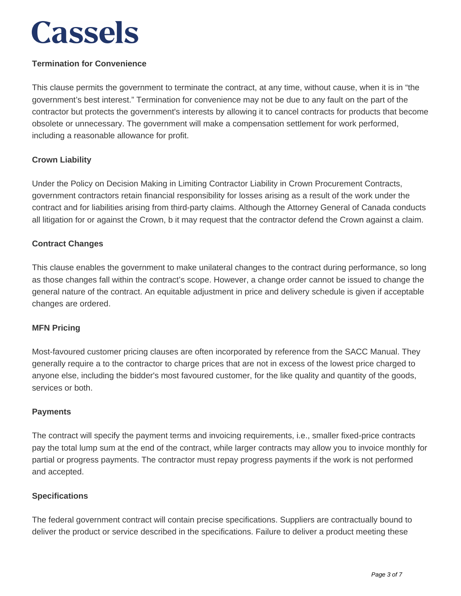### **Termination for Convenience**

This clause permits the government to terminate the contract, at any time, without cause, when it is in "the government's best interest." Termination for convenience may not be due to any fault on the part of the contractor but protects the government's interests by allowing it to cancel contracts for products that become obsolete or unnecessary. The government will make a compensation settlement for work performed, including a reasonable allowance for profit.

#### **Crown Liability**

Under the Policy on Decision Making in Limiting Contractor Liability in Crown Procurement Contracts, government contractors retain financial responsibility for losses arising as a result of the work under the contract and for liabilities arising from third-party claims. Although the Attorney General of Canada conducts all litigation for or against the Crown, b it may request that the contractor defend the Crown against a claim.

#### **Contract Changes**

This clause enables the government to make unilateral changes to the contract during performance, so long as those changes fall within the contract's scope. However, a change order cannot be issued to change the general nature of the contract. An equitable adjustment in price and delivery schedule is given if acceptable changes are ordered.

#### **MFN Pricing**

Most-favoured customer pricing clauses are often incorporated by reference from the SACC Manual. They generally require a to the contractor to charge prices that are not in excess of the lowest price charged to anyone else, including the bidder's most favoured customer, for the like quality and quantity of the goods, services or both.

#### **Payments**

The contract will specify the payment terms and invoicing requirements, i.e., smaller fixed-price contracts pay the total lump sum at the end of the contract, while larger contracts may allow you to invoice monthly for partial or progress payments. The contractor must repay progress payments if the work is not performed and accepted.

#### **Specifications**

The federal government contract will contain precise specifications. Suppliers are contractually bound to deliver the product or service described in the specifications. Failure to deliver a product meeting these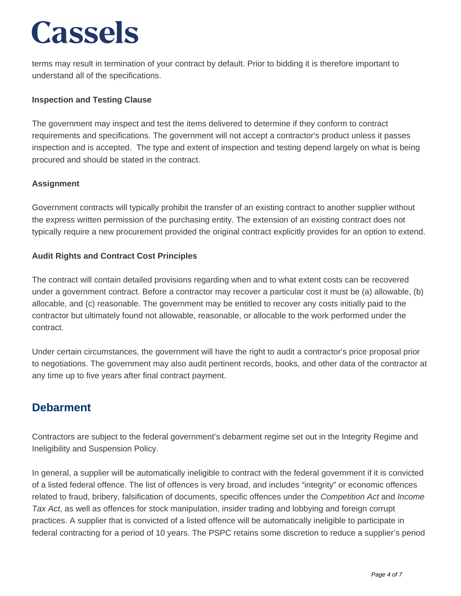terms may result in termination of your contract by default. Prior to bidding it is therefore important to understand all of the specifications.

### **Inspection and Testing Clause**

The government may inspect and test the items delivered to determine if they conform to contract requirements and specifications. The government will not accept a contractor's product unless it passes inspection and is accepted. The type and extent of inspection and testing depend largely on what is being procured and should be stated in the contract.

### **Assignment**

Government contracts will typically prohibit the transfer of an existing contract to another supplier without the express written permission of the purchasing entity. The extension of an existing contract does not typically require a new procurement provided the original contract explicitly provides for an option to extend.

### **Audit Rights and Contract Cost Principles**

The contract will contain detailed provisions regarding when and to what extent costs can be recovered under a government contract. Before a contractor may recover a particular cost it must be (a) allowable, (b) allocable, and (c) reasonable. The government may be entitled to recover any costs initially paid to the contractor but ultimately found not allowable, reasonable, or allocable to the work performed under the contract.

Under certain circumstances, the government will have the right to audit a contractor's price proposal prior to negotiations. The government may also audit pertinent records, books, and other data of the contractor at any time up to five years after final contract payment.

### **Debarment**

Contractors are subject to the federal government's debarment regime set out in the Integrity Regime and Ineligibility and Suspension Policy.

In general, a supplier will be automatically ineligible to contract with the federal government if it is convicted of a listed federal offence. The list of offences is very broad, and includes "integrity" or economic offences related to fraud, bribery, falsification of documents, specific offences under the Competition Act and Income Tax Act, as well as offences for stock manipulation, insider trading and lobbying and foreign corrupt practices. A supplier that is convicted of a listed offence will be automatically ineligible to participate in federal contracting for a period of 10 years. The PSPC retains some discretion to reduce a supplier's period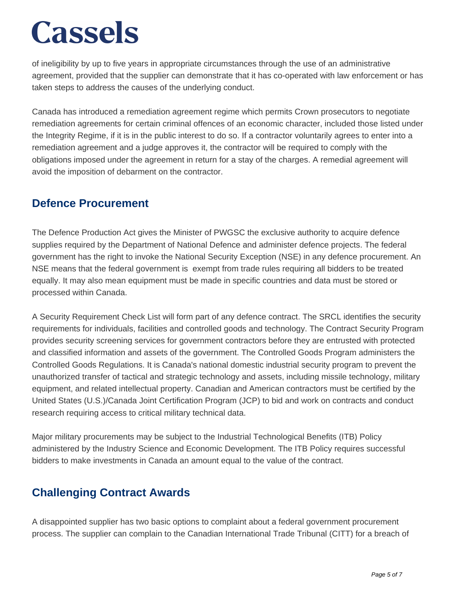of ineligibility by up to five years in appropriate circumstances through the use of an administrative agreement, provided that the supplier can demonstrate that it has co-operated with law enforcement or has taken steps to address the causes of the underlying conduct.

Canada has introduced a remediation agreement regime which permits Crown prosecutors to negotiate remediation agreements for certain criminal offences of an economic character, included those listed under the Integrity Regime, if it is in the public interest to do so. If a contractor voluntarily agrees to enter into a remediation agreement and a judge approves it, the contractor will be required to comply with the obligations imposed under the agreement in return for a stay of the charges. A remedial agreement will avoid the imposition of debarment on the contractor.

### **Defence Procurement**

The Defence Production Act gives the Minister of PWGSC the exclusive authority to acquire defence supplies required by the Department of National Defence and administer defence projects. The federal government has the right to invoke the National Security Exception (NSE) in any defence procurement. An NSE means that the federal government is exempt from trade rules requiring all bidders to be treated equally. It may also mean equipment must be made in specific countries and data must be stored or processed within Canada.

A Security Requirement Check List will form part of any defence contract. The SRCL identifies the security requirements for individuals, facilities and controlled goods and technology. The Contract Security Program provides security screening services for government contractors before they are entrusted with protected and classified information and assets of the government. The Controlled Goods Program administers the Controlled Goods Regulations. It is Canada's national domestic industrial security program to prevent the unauthorized transfer of tactical and strategic technology and assets, including missile technology, military equipment, and related intellectual property. Canadian and American contractors must be certified by the United States (U.S.)/Canada Joint Certification Program (JCP) to bid and work on contracts and conduct research requiring access to critical military technical data.

Major military procurements may be subject to the Industrial Technological Benefits (ITB) Policy administered by the Industry Science and Economic Development. The ITB Policy requires successful bidders to make investments in Canada an amount equal to the value of the contract.

### **Challenging Contract Awards**

A disappointed supplier has two basic options to complaint about a federal government procurement process. The supplier can complain to the Canadian International Trade Tribunal (CITT) for a breach of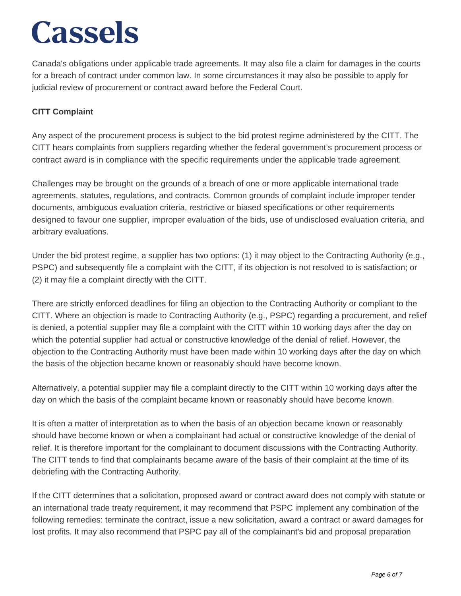Canada's obligations under applicable trade agreements. It may also file a claim for damages in the courts for a breach of contract under common law. In some circumstances it may also be possible to apply for judicial review of procurement or contract award before the Federal Court.

### **CITT Complaint**

Any aspect of the procurement process is subject to the bid protest regime administered by the CITT. The CITT hears complaints from suppliers regarding whether the federal government's procurement process or contract award is in compliance with the specific requirements under the applicable trade agreement.

Challenges may be brought on the grounds of a breach of one or more applicable international trade agreements, statutes, regulations, and contracts. Common grounds of complaint include improper tender documents, ambiguous evaluation criteria, restrictive or biased specifications or other requirements designed to favour one supplier, improper evaluation of the bids, use of undisclosed evaluation criteria, and arbitrary evaluations.

Under the bid protest regime, a supplier has two options: (1) it may object to the Contracting Authority (e.g., PSPC) and subsequently file a complaint with the CITT, if its objection is not resolved to is satisfaction; or (2) it may file a complaint directly with the CITT.

There are strictly enforced deadlines for filing an objection to the Contracting Authority or compliant to the CITT. Where an objection is made to Contracting Authority (e.g., PSPC) regarding a procurement, and relief is denied, a potential supplier may file a complaint with the CITT within 10 working days after the day on which the potential supplier had actual or constructive knowledge of the denial of relief. However, the objection to the Contracting Authority must have been made within 10 working days after the day on which the basis of the objection became known or reasonably should have become known.

Alternatively, a potential supplier may file a complaint directly to the CITT within 10 working days after the day on which the basis of the complaint became known or reasonably should have become known.

It is often a matter of interpretation as to when the basis of an objection became known or reasonably should have become known or when a complainant had actual or constructive knowledge of the denial of relief. It is therefore important for the complainant to document discussions with the Contracting Authority. The CITT tends to find that complainants became aware of the basis of their complaint at the time of its debriefing with the Contracting Authority.

If the CITT determines that a solicitation, proposed award or contract award does not comply with statute or an international trade treaty requirement, it may recommend that PSPC implement any combination of the following remedies: terminate the contract, issue a new solicitation, award a contract or award damages for lost profits. It may also recommend that PSPC pay all of the complainant's bid and proposal preparation